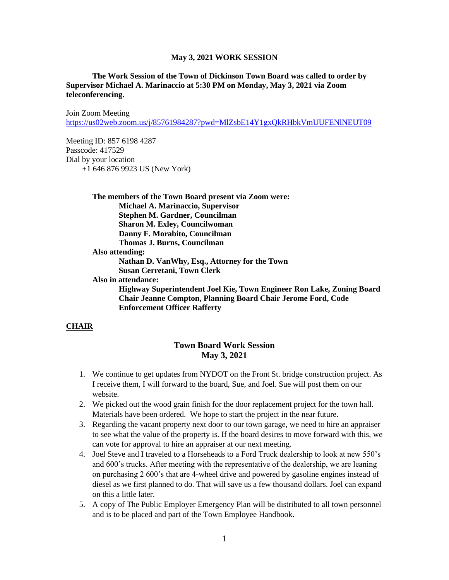#### **The Work Session of the Town of Dickinson Town Board was called to order by Supervisor Michael A. Marinaccio at 5:30 PM on Monday, May 3, 2021 via Zoom teleconferencing.**

Join Zoom Meeting <https://us02web.zoom.us/j/85761984287?pwd=MlZsbE14Y1gxQkRHbkVmUUFENlNEUT09>

Meeting ID: 857 6198 4287 Passcode: 417529 Dial by your location +1 646 876 9923 US (New York)

> **The members of the Town Board present via Zoom were: Michael A. Marinaccio, Supervisor Stephen M. Gardner, Councilman Sharon M. Exley, Councilwoman Danny F. Morabito, Councilman Thomas J. Burns, Councilman Also attending: Nathan D. VanWhy, Esq., Attorney for the Town Susan Cerretani, Town Clerk Also in attendance: Highway Superintendent Joel Kie, Town Engineer Ron Lake, Zoning Board Chair Jeanne Compton, Planning Board Chair Jerome Ford, Code Enforcement Officer Rafferty**

#### **CHAIR**

## **Town Board Work Session May 3, 2021**

- 1. We continue to get updates from NYDOT on the Front St. bridge construction project. As I receive them, I will forward to the board, Sue, and Joel. Sue will post them on our website.
- 2. We picked out the wood grain finish for the door replacement project for the town hall. Materials have been ordered. We hope to start the project in the near future.
- 3. Regarding the vacant property next door to our town garage, we need to hire an appraiser to see what the value of the property is. If the board desires to move forward with this, we can vote for approval to hire an appraiser at our next meeting.
- 4. Joel Steve and I traveled to a Horseheads to a Ford Truck dealership to look at new 550's and 600's trucks. After meeting with the representative of the dealership, we are leaning on purchasing 2 600's that are 4-wheel drive and powered by gasoline engines instead of diesel as we first planned to do. That will save us a few thousand dollars. Joel can expand on this a little later.
- 5. A copy of The Public Employer Emergency Plan will be distributed to all town personnel and is to be placed and part of the Town Employee Handbook.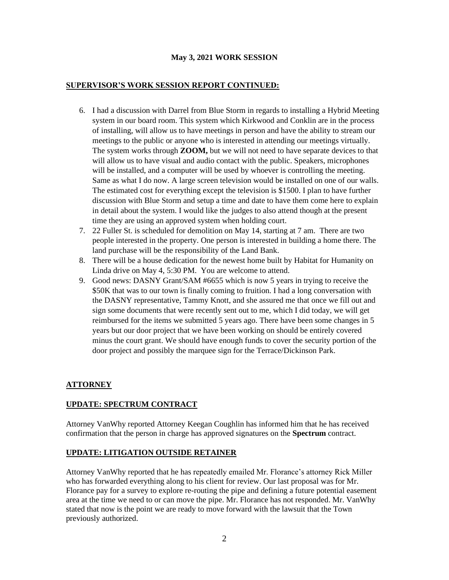#### **SUPERVISOR'S WORK SESSION REPORT CONTINUED:**

- 6. I had a discussion with Darrel from Blue Storm in regards to installing a Hybrid Meeting system in our board room. This system which Kirkwood and Conklin are in the process of installing, will allow us to have meetings in person and have the ability to stream our meetings to the public or anyone who is interested in attending our meetings virtually. The system works through **ZOOM,** but we will not need to have separate devices to that will allow us to have visual and audio contact with the public. Speakers, microphones will be installed, and a computer will be used by whoever is controlling the meeting. Same as what I do now. A large screen television would be installed on one of our walls. The estimated cost for everything except the television is \$1500. I plan to have further discussion with Blue Storm and setup a time and date to have them come here to explain in detail about the system. I would like the judges to also attend though at the present time they are using an approved system when holding court.
- 7. 22 Fuller St. is scheduled for demolition on May 14, starting at 7 am. There are two people interested in the property. One person is interested in building a home there. The land purchase will be the responsibility of the Land Bank.
- 8. There will be a house dedication for the newest home built by Habitat for Humanity on Linda drive on May 4, 5:30 PM. You are welcome to attend.
- 9. Good news: DASNY Grant/SAM #6655 which is now 5 years in trying to receive the \$50K that was to our town is finally coming to fruition. I had a long conversation with the DASNY representative, Tammy Knott, and she assured me that once we fill out and sign some documents that were recently sent out to me, which I did today, we will get reimbursed for the items we submitted 5 years ago. There have been some changes in 5 years but our door project that we have been working on should be entirely covered minus the court grant. We should have enough funds to cover the security portion of the door project and possibly the marquee sign for the Terrace/Dickinson Park.

# **ATTORNEY**

### **UPDATE: SPECTRUM CONTRACT**

Attorney VanWhy reported Attorney Keegan Coughlin has informed him that he has received confirmation that the person in charge has approved signatures on the **Spectrum** contract.

### **UPDATE: LITIGATION OUTSIDE RETAINER**

Attorney VanWhy reported that he has repeatedly emailed Mr. Florance's attorney Rick Miller who has forwarded everything along to his client for review. Our last proposal was for Mr. Florance pay for a survey to explore re-routing the pipe and defining a future potential easement area at the time we need to or can move the pipe. Mr. Florance has not responded. Mr. VanWhy stated that now is the point we are ready to move forward with the lawsuit that the Town previously authorized.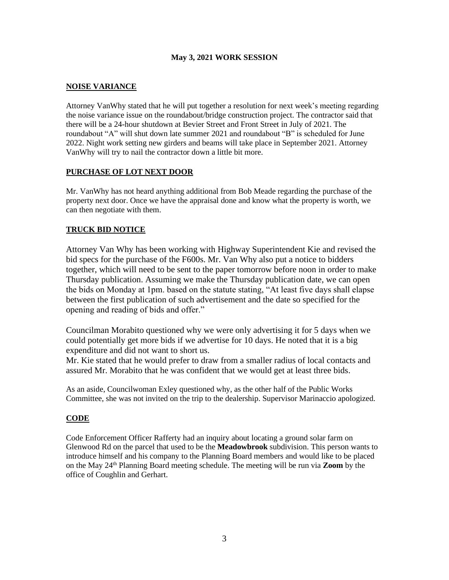## **NOISE VARIANCE**

Attorney VanWhy stated that he will put together a resolution for next week's meeting regarding the noise variance issue on the roundabout/bridge construction project. The contractor said that there will be a 24-hour shutdown at Bevier Street and Front Street in July of 2021. The roundabout "A" will shut down late summer 2021 and roundabout "B" is scheduled for June 2022. Night work setting new girders and beams will take place in September 2021. Attorney VanWhy will try to nail the contractor down a little bit more.

### **PURCHASE OF LOT NEXT DOOR**

Mr. VanWhy has not heard anything additional from Bob Meade regarding the purchase of the property next door. Once we have the appraisal done and know what the property is worth, we can then negotiate with them.

# **TRUCK BID NOTICE**

Attorney Van Why has been working with Highway Superintendent Kie and revised the bid specs for the purchase of the F600s. Mr. Van Why also put a notice to bidders together, which will need to be sent to the paper tomorrow before noon in order to make Thursday publication. Assuming we make the Thursday publication date, we can open the bids on Monday at 1pm. based on the statute stating, "At least five days shall elapse between the first publication of such advertisement and the date so specified for the opening and reading of bids and offer."

Councilman Morabito questioned why we were only advertising it for 5 days when we could potentially get more bids if we advertise for 10 days. He noted that it is a big expenditure and did not want to short us.

Mr. Kie stated that he would prefer to draw from a smaller radius of local contacts and assured Mr. Morabito that he was confident that we would get at least three bids.

As an aside, Councilwoman Exley questioned why, as the other half of the Public Works Committee, she was not invited on the trip to the dealership. Supervisor Marinaccio apologized.

### **CODE**

Code Enforcement Officer Rafferty had an inquiry about locating a ground solar farm on Glenwood Rd on the parcel that used to be the **Meadowbrook** subdivision. This person wants to introduce himself and his company to the Planning Board members and would like to be placed on the May 24th Planning Board meeting schedule. The meeting will be run via **Zoom** by the office of Coughlin and Gerhart.